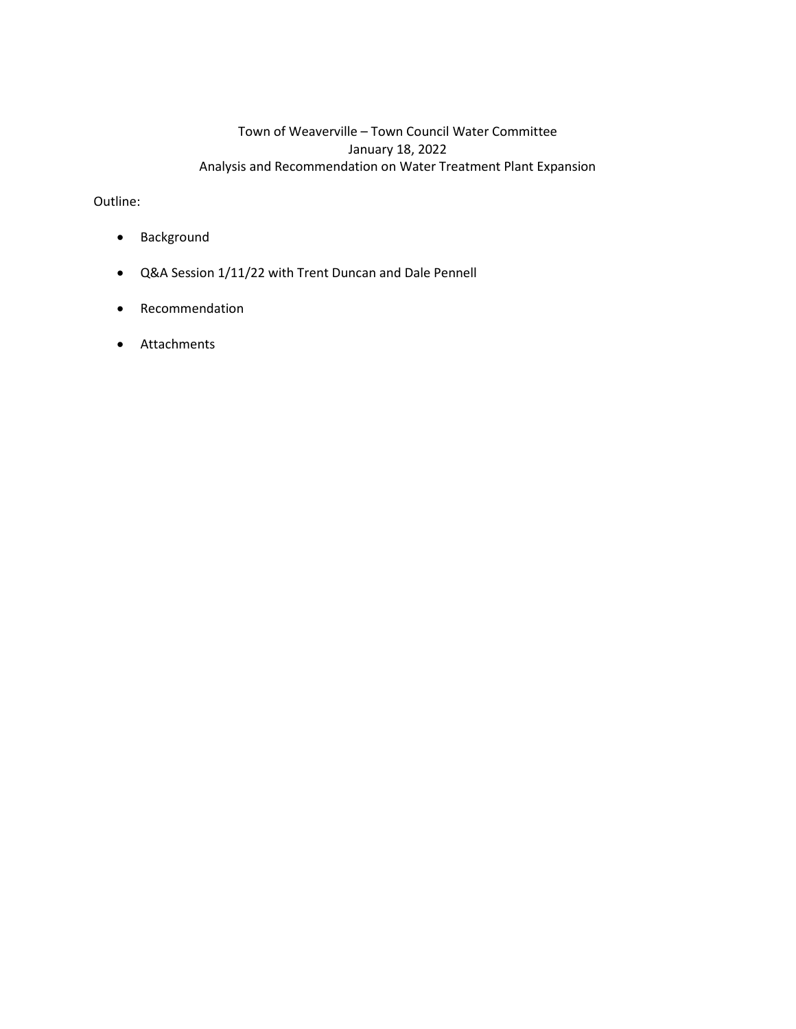# Town of Weaverville – Town Council Water Committee January 18, 2022 Analysis and Recommendation on Water Treatment Plant Expansion

Outline:

- Background
- Q&A Session 1/11/22 with Trent Duncan and Dale Pennell
- Recommendation
- Attachments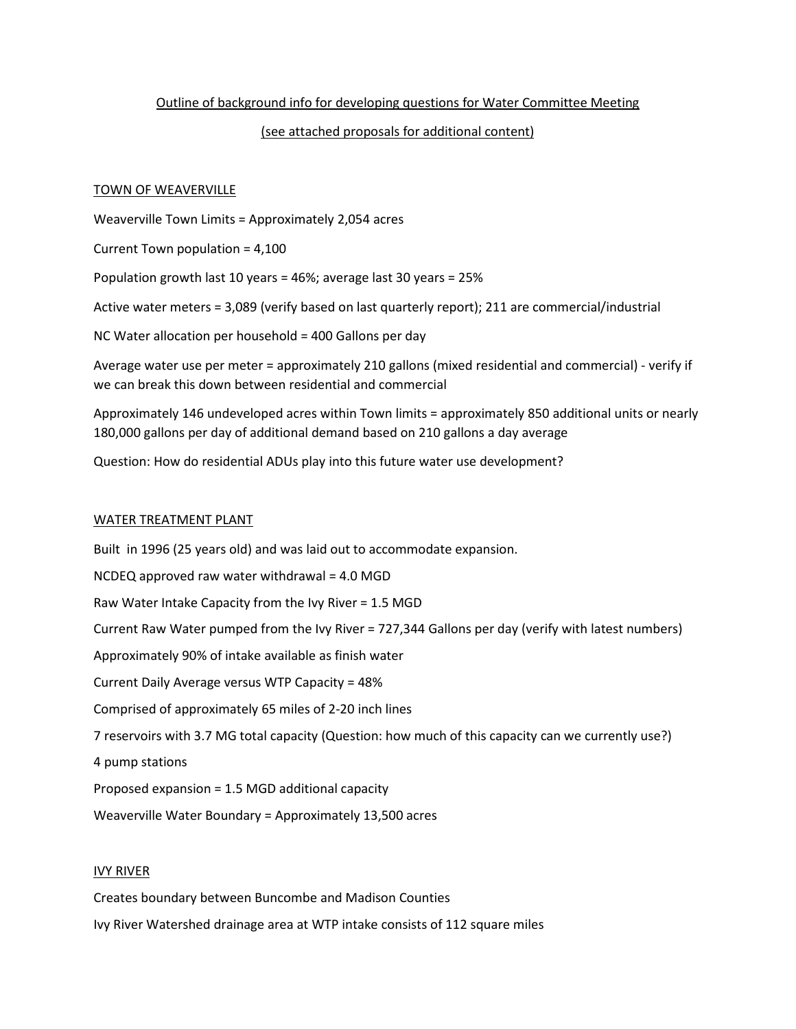# Outline of background info for developing questions for Water Committee Meeting

### (see attached proposals for additional content)

#### TOWN OF WEAVERVILLE

Weaverville Town Limits = Approximately 2,054 acres

Current Town population = 4,100

Population growth last 10 years = 46%; average last 30 years = 25%

Active water meters = 3,089 (verify based on last quarterly report); 211 are commercial/industrial

NC Water allocation per household = 400 Gallons per day

Average water use per meter = approximately 210 gallons (mixed residential and commercial) - verify if we can break this down between residential and commercial

Approximately 146 undeveloped acres within Town limits = approximately 850 additional units or nearly 180,000 gallons per day of additional demand based on 210 gallons a day average

Question: How do residential ADUs play into this future water use development?

#### WATER TREATMENT PLANT

Built in 1996 (25 years old) and was laid out to accommodate expansion.  $NCDEQ$  approved raw water withdrawal = 4.0 MGD Raw Water Intake Capacity from the Ivy River = 1.5 MGD Current Raw Water pumped from the Ivy River = 727,344 Gallons per day (verify with latest numbers) Approximately 90% of intake available as finish water Current Daily Average versus WTP Capacity = 48% Comprised of approximately 65 miles of 2-20 inch lines 7 reservoirs with 3.7 MG total capacity (Question: how much of this capacity can we currently use?) 4 pump stations Proposed expansion = 1.5 MGD additional capacity

Weaverville Water Boundary = Approximately 13,500 acres

### IVY RIVER

Creates boundary between Buncombe and Madison Counties

Ivy River Watershed drainage area at WTP intake consists of 112 square miles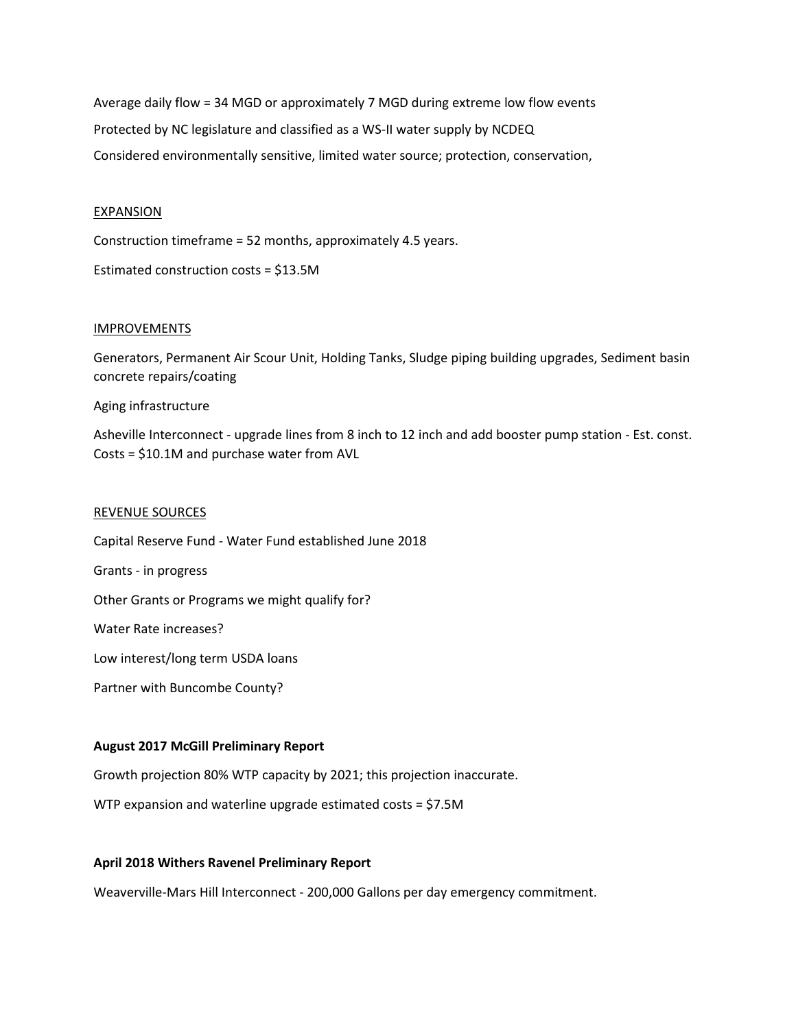Average daily flow = 34 MGD or approximately 7 MGD during extreme low flow events Protected by NC legislature and classified as a WS-II water supply by NCDEQ Considered environmentally sensitive, limited water source; protection, conservation,

### **EXPANSION**

Construction timeframe = 52 months, approximately 4.5 years.

Estimated construction costs = \$13.5M

# IMPROVEMENTS

Generators, Permanent Air Scour Unit, Holding Tanks, Sludge piping building upgrades, Sediment basin concrete repairs/coating

Aging infrastructure

Asheville Interconnect - upgrade lines from 8 inch to 12 inch and add booster pump station - Est. const. Costs = \$10.1M and purchase water from AVL

#### REVENUE SOURCES

Capital Reserve Fund - Water Fund established June 2018 Grants - in progress Other Grants or Programs we might qualify for? Water Rate increases? Low interest/long term USDA loans Partner with Buncombe County?

### **August 2017 McGill Preliminary Report**

Growth projection 80% WTP capacity by 2021; this projection inaccurate.

WTP expansion and waterline upgrade estimated costs = \$7.5M

#### **April 2018 Withers Ravenel Preliminary Report**

Weaverville-Mars Hill Interconnect - 200,000 Gallons per day emergency commitment.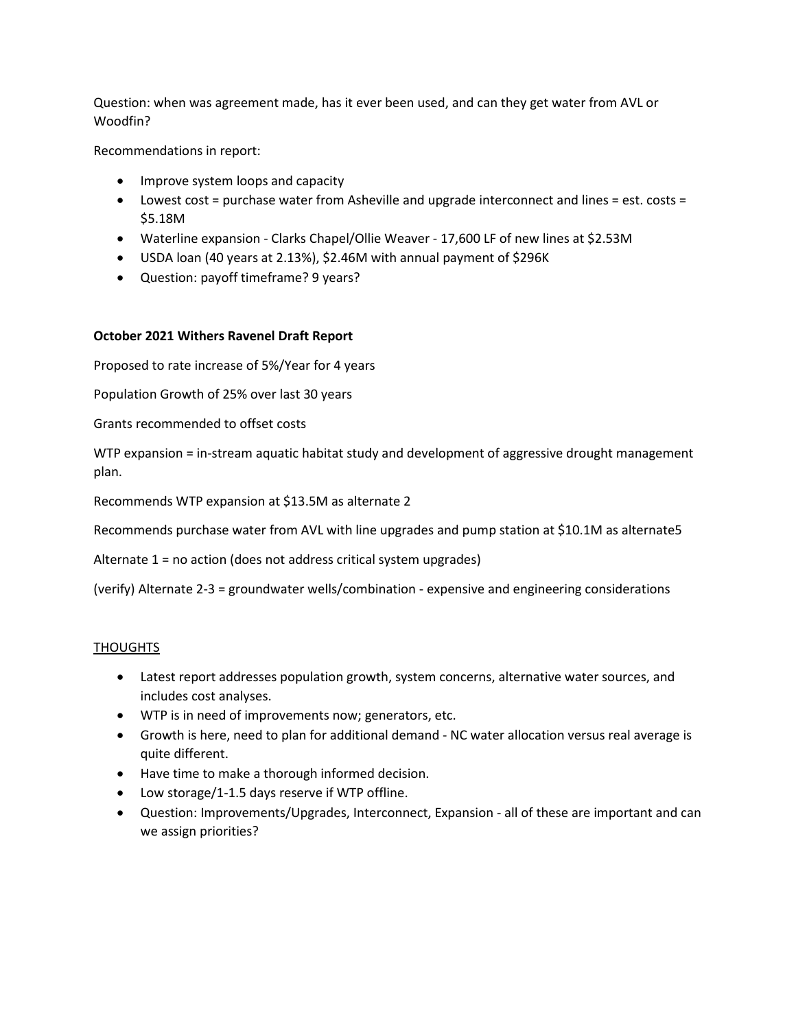Question: when was agreement made, has it ever been used, and can they get water from AVL or Woodfin?

Recommendations in report:

- Improve system loops and capacity
- Lowest cost = purchase water from Asheville and upgrade interconnect and lines = est. costs = \$5.18M
- Waterline expansion Clarks Chapel/Ollie Weaver 17,600 LF of new lines at \$2.53M
- USDA loan (40 years at 2.13%), \$2.46M with annual payment of \$296K
- Question: payoff timeframe? 9 years?

# **October 2021 Withers Ravenel Draft Report**

Proposed to rate increase of 5%/Year for 4 years

Population Growth of 25% over last 30 years

Grants recommended to offset costs

WTP expansion = in-stream aquatic habitat study and development of aggressive drought management plan.

Recommends WTP expansion at \$13.5M as alternate 2

Recommends purchase water from AVL with line upgrades and pump station at \$10.1M as alternate5

Alternate 1 = no action (does not address critical system upgrades)

(verify) Alternate 2-3 = groundwater wells/combination - expensive and engineering considerations

# **THOUGHTS**

- Latest report addresses population growth, system concerns, alternative water sources, and includes cost analyses.
- WTP is in need of improvements now; generators, etc.
- Growth is here, need to plan for additional demand NC water allocation versus real average is quite different.
- Have time to make a thorough informed decision.
- Low storage/1-1.5 days reserve if WTP offline.
- Question: Improvements/Upgrades, Interconnect, Expansion all of these are important and can we assign priorities?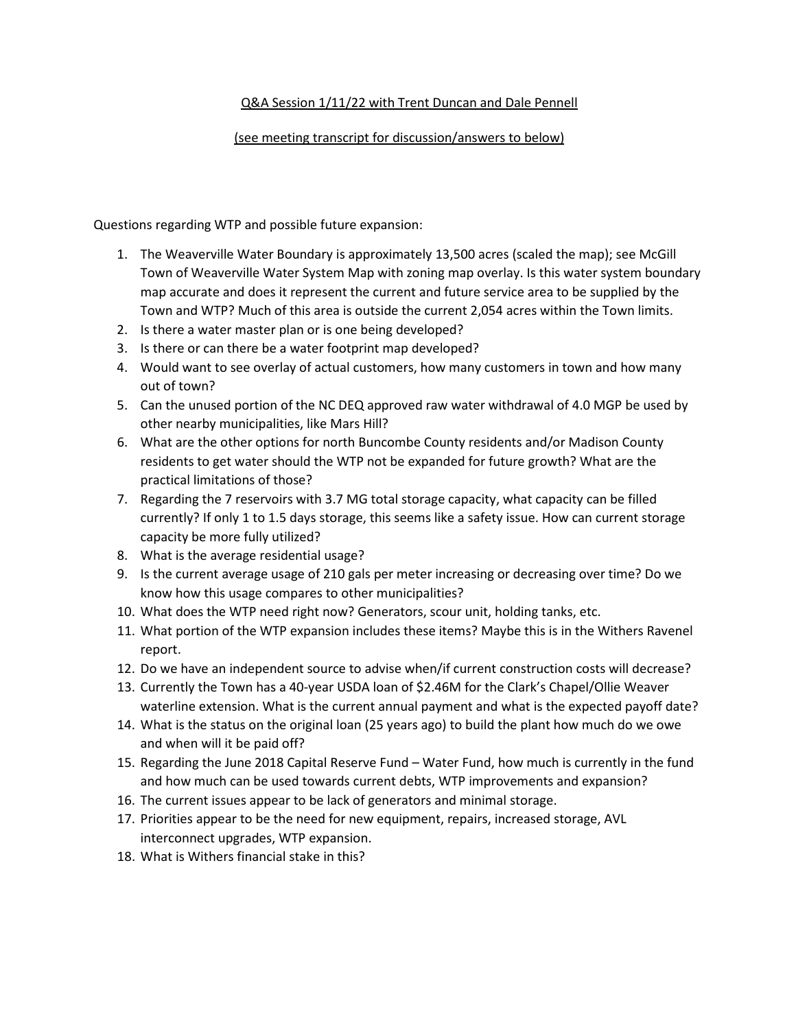# Q&A Session 1/11/22 with Trent Duncan and Dale Pennell

# (see meeting transcript for discussion/answers to below)

Questions regarding WTP and possible future expansion:

- 1. The Weaverville Water Boundary is approximately 13,500 acres (scaled the map); see McGill Town of Weaverville Water System Map with zoning map overlay. Is this water system boundary map accurate and does it represent the current and future service area to be supplied by the Town and WTP? Much of this area is outside the current 2,054 acres within the Town limits.
- 2. Is there a water master plan or is one being developed?
- 3. Is there or can there be a water footprint map developed?
- 4. Would want to see overlay of actual customers, how many customers in town and how many out of town?
- 5. Can the unused portion of the NC DEQ approved raw water withdrawal of 4.0 MGP be used by other nearby municipalities, like Mars Hill?
- 6. What are the other options for north Buncombe County residents and/or Madison County residents to get water should the WTP not be expanded for future growth? What are the practical limitations of those?
- 7. Regarding the 7 reservoirs with 3.7 MG total storage capacity, what capacity can be filled currently? If only 1 to 1.5 days storage, this seems like a safety issue. How can current storage capacity be more fully utilized?
- 8. What is the average residential usage?
- 9. Is the current average usage of 210 gals per meter increasing or decreasing over time? Do we know how this usage compares to other municipalities?
- 10. What does the WTP need right now? Generators, scour unit, holding tanks, etc.
- 11. What portion of the WTP expansion includes these items? Maybe this is in the Withers Ravenel report.
- 12. Do we have an independent source to advise when/if current construction costs will decrease?
- 13. Currently the Town has a 40-year USDA loan of \$2.46M for the Clark's Chapel/Ollie Weaver waterline extension. What is the current annual payment and what is the expected payoff date?
- 14. What is the status on the original loan (25 years ago) to build the plant how much do we owe and when will it be paid off?
- 15. Regarding the June 2018 Capital Reserve Fund Water Fund, how much is currently in the fund and how much can be used towards current debts, WTP improvements and expansion?
- 16. The current issues appear to be lack of generators and minimal storage.
- 17. Priorities appear to be the need for new equipment, repairs, increased storage, AVL interconnect upgrades, WTP expansion.
- 18. What is Withers financial stake in this?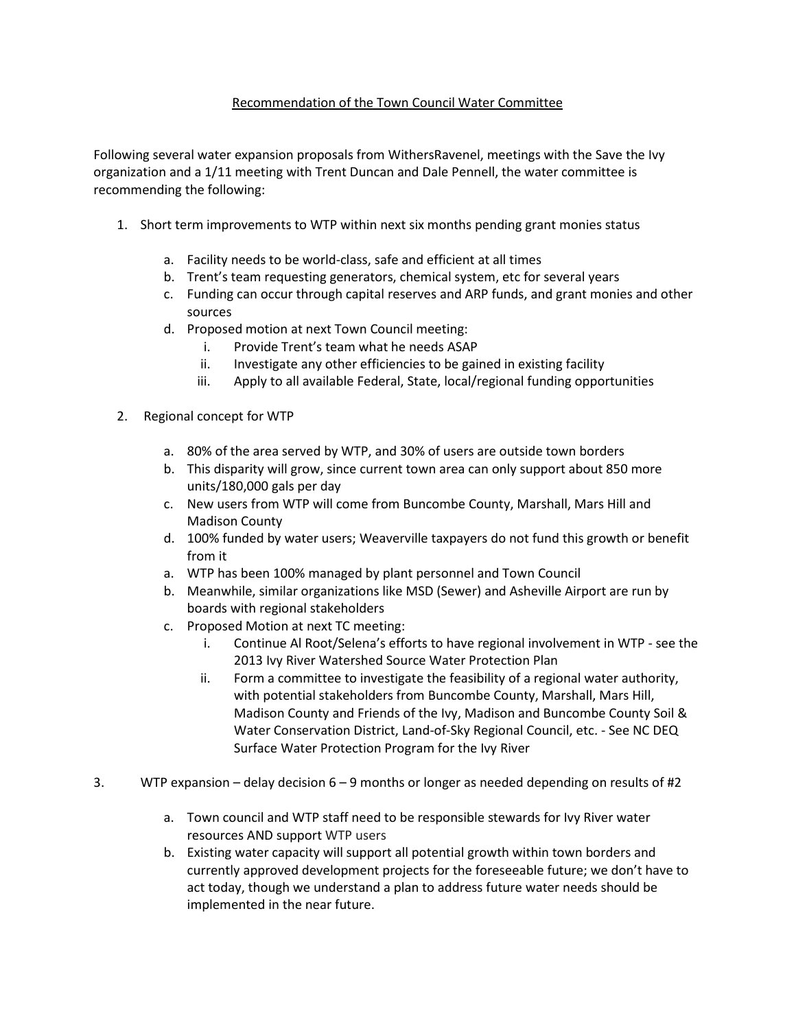# Recommendation of the Town Council Water Committee

Following several water expansion proposals from WithersRavenel, meetings with the Save the Ivy organization and a 1/11 meeting with Trent Duncan and Dale Pennell, the water committee is recommending the following:

- 1. Short term improvements to WTP within next six months pending grant monies status
	- a. Facility needs to be world-class, safe and efficient at all times
	- b. Trent's team requesting generators, chemical system, etc for several years
	- c. Funding can occur through capital reserves and ARP funds, and grant monies and other sources
	- d. Proposed motion at next Town Council meeting:
		- i. Provide Trent's team what he needs ASAP
		- ii. Investigate any other efficiencies to be gained in existing facility
		- iii. Apply to all available Federal, State, local/regional funding opportunities
- 2. Regional concept for WTP
	- a. 80% of the area served by WTP, and 30% of users are outside town borders
	- b. This disparity will grow, since current town area can only support about 850 more units/180,000 gals per day
	- c. New users from WTP will come from Buncombe County, Marshall, Mars Hill and Madison County
	- d. 100% funded by water users; Weaverville taxpayers do not fund this growth or benefit from it
	- a. WTP has been 100% managed by plant personnel and Town Council
	- b. Meanwhile, similar organizations like MSD (Sewer) and Asheville Airport are run by boards with regional stakeholders
	- c. Proposed Motion at next TC meeting:
		- i. Continue Al Root/Selena's efforts to have regional involvement in WTP see the 2013 Ivy River Watershed Source Water Protection Plan
		- ii. Form a committee to investigate the feasibility of a regional water authority, with potential stakeholders from Buncombe County, Marshall, Mars Hill, Madison County and Friends of the Ivy, Madison and Buncombe County Soil & Water Conservation District, Land-of-Sky Regional Council, etc. - See NC DEQ Surface Water Protection Program for the Ivy River
- 3. WTP expansion delay decision 6 9 months or longer as needed depending on results of #2
	- a. Town council and WTP staff need to be responsible stewards for Ivy River water resources AND support WTP users
	- b. Existing water capacity will support all potential growth within town borders and currently approved development projects for the foreseeable future; we don't have to act today, though we understand a plan to address future water needs should be implemented in the near future.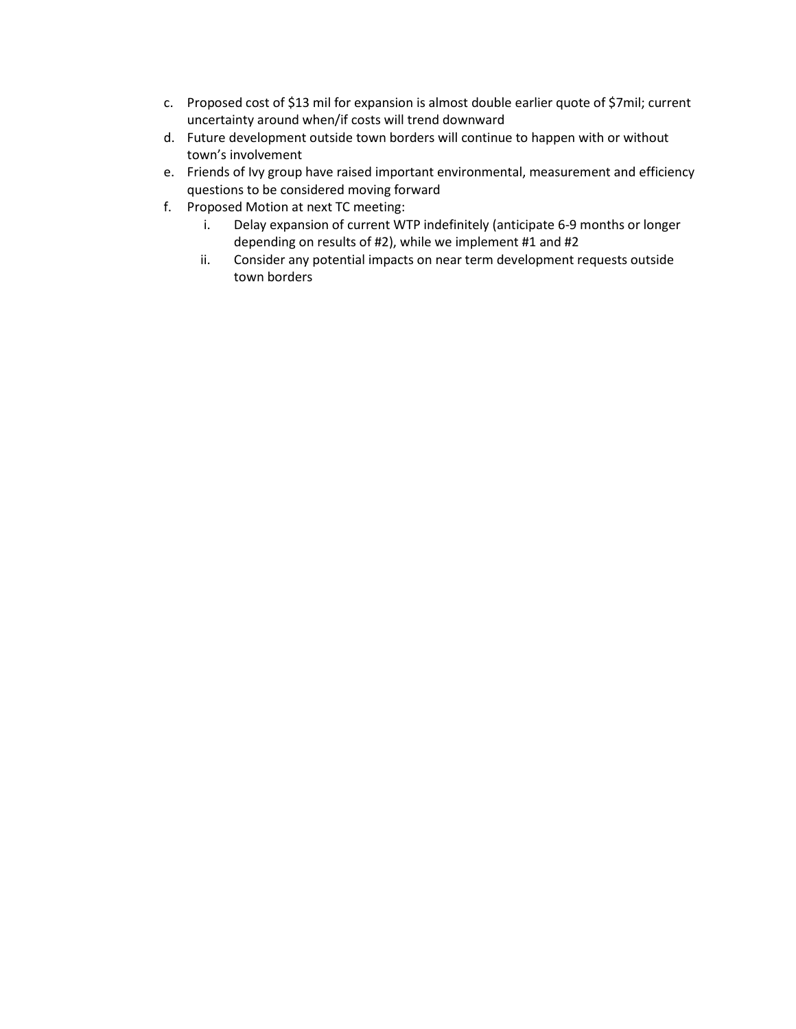- c. Proposed cost of \$13 mil for expansion is almost double earlier quote of \$7mil; current uncertainty around when/if costs will trend downward
- d. Future development outside town borders will continue to happen with or without town's involvement
- e. Friends of Ivy group have raised important environmental, measurement and efficiency questions to be considered moving forward
- f. Proposed Motion at next TC meeting:
	- i. Delay expansion of current WTP indefinitely (anticipate 6-9 months or longer depending on results of #2), while we implement #1 and #2
	- ii. Consider any potential impacts on near term development requests outside town borders